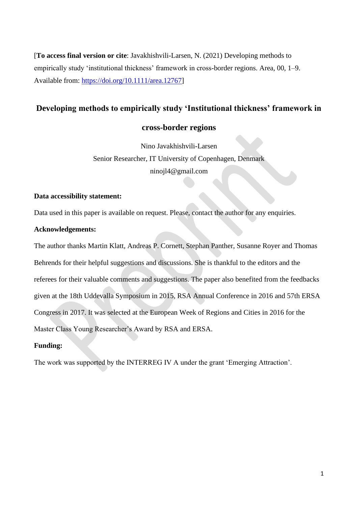[**To access final version or cite**: Javakhishvili-Larsen, N. (2021) Developing methods to empirically study 'institutional thickness' framework in cross-border regions. Area, 00, 1–9. Available from: [https://doi.org/10.1111/area.12767\]](https://doi.org/10.1111/area.12767)

# **Developing methods to empirically study 'Institutional thickness' framework in**

# **cross-border regions**

Nino Javakhishvili-Larsen Senior Researcher, IT University of Copenhagen, Denmark ninojl4@gmail.com

# **Data accessibility statement:**

Data used in this paper is available on request. Please, contact the author for any enquiries.

# **Acknowledgements:**

The author thanks Martin Klatt, Andreas P. Cornett, Stephan Panther, Susanne Royer and Thomas Behrends for their helpful suggestions and discussions. She is thankful to the editors and the referees for their valuable comments and suggestions. The paper also benefited from the feedbacks given at the 18th Uddevalla Symposium in 2015, RSA Annual Conference in 2016 and 57th ERSA Congress in 2017. It was selected at the European Week of Regions and Cities in 2016 for the Master Class Young Researcher's Award by RSA and ERSA.

# **Funding:**

The work was supported by the INTERREG IV A under the grant 'Emerging Attraction'.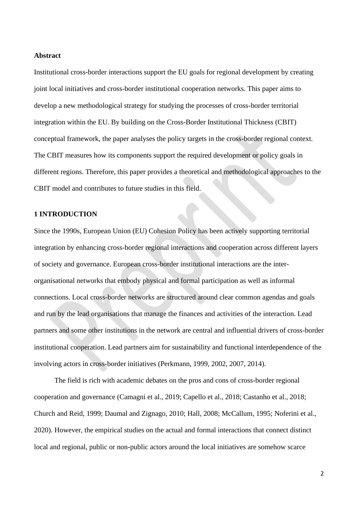#### **Abstract**

Institutional cross-border interactions support the EU goals for regional development by creating joint local initiatives and cross-border institutional cooperation networks. This paper aims to develop a new methodological strategy for studying the processes of cross-border territorial integration within the EU. By building on the Cross-Border Institutional Thickness (CBIT) conceptual framework, the paper analyses the policy targets in the cross-border regional context. The CBIT measures how its components support the required development or policy goals in different regions. Therefore, this paper provides a theoretical and methodological approaches to the CBIT model and contributes to future studies in this field.

## **1 INTRODUCTION**

Since the 1990s, European Union (EU) Cohesion Policy has been actively supporting territorial integration by enhancing cross-border regional interactions and cooperation across different layers of society and governance. European cross-border institutional interactions are the interorganisational networks that embody physical and formal participation as well as informal connections. Local cross-border networks are structured around clear common agendas and goals and run by the lead organisations that manage the finances and activities of the interaction. Lead partners and some other institutions in the network are central and influential drivers of cross-border institutional cooperation. Lead partners aim for sustainability and functional interdependence of the involving actors in cross-border initiatives (Perkmann, 1999, 2002, 2007, 2014).

The field is rich with academic debates on the pros and cons of cross-border regional cooperation and governance (Camagni et al., 2019; Capello et al., 2018; Castanho et al., 2018; Church and Reid, 1999; Daumal and Zignago, 2010; Hall, 2008; McCallum, 1995; Noferini et al., 2020). However, the empirical studies on the actual and formal interactions that connect distinct local and regional, public or non-public actors around the local initiatives are somehow scarce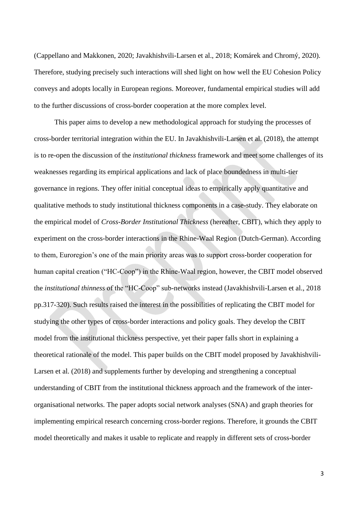(Cappellano and Makkonen, 2020; Javakhishvili-Larsen et al., 2018; Komárek and Chromý, 2020). Therefore, studying precisely such interactions will shed light on how well the EU Cohesion Policy conveys and adopts locally in European regions. Moreover, fundamental empirical studies will add to the further discussions of cross-border cooperation at the more complex level.

This paper aims to develop a new methodological approach for studying the processes of cross-border territorial integration within the EU. In Javakhishvili-Larsen et al. (2018), the attempt is to re-open the discussion of the *institutional thickness* framework and meet some challenges of its weaknesses regarding its empirical applications and lack of place boundedness in multi-tier governance in regions. They offer initial conceptual ideas to empirically apply quantitative and qualitative methods to study institutional thickness components in a case-study. They elaborate on the empirical model of *Cross-Border Institutional Thickness* (hereafter, CBIT), which they apply to experiment on the cross-border interactions in the Rhine-Waal Region (Dutch-German). According to them, Euroregion's one of the main priority areas was to support cross-border cooperation for human capital creation ("HC-Coop") in the Rhine-Waal region, however, the CBIT model observed the *institutional thinness* of the "HC-Coop" sub-networks instead (Javakhishvili-Larsen et al., 2018 pp.317-320). Such results raised the interest in the possibilities of replicating the CBIT model for studying the other types of cross-border interactions and policy goals. They develop the CBIT model from the institutional thickness perspective, yet their paper falls short in explaining a theoretical rationale of the model. This paper builds on the CBIT model proposed by Javakhishvili-Larsen et al. (2018) and supplements further by developing and strengthening a conceptual understanding of CBIT from the institutional thickness approach and the framework of the interorganisational networks. The paper adopts social network analyses (SNA) and graph theories for implementing empirical research concerning cross-border regions. Therefore, it grounds the CBIT model theoretically and makes it usable to replicate and reapply in different sets of cross-border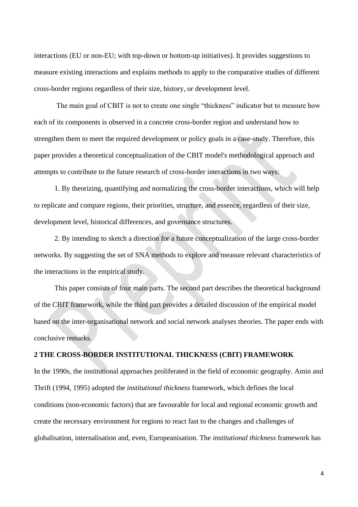interactions (EU or non-EU; with top-down or bottom-up initiatives). It provides suggestions to measure existing interactions and explains methods to apply to the comparative studies of different cross-border regions regardless of their size, history, or development level.

The main goal of CBIT is not to create one single "thickness" indicator but to measure how each of its components is observed in a concrete cross-border region and understand how to strengthen them to meet the required development or policy goals in a case-study. Therefore, this paper provides a theoretical conceptualization of the CBIT model's methodological approach and attempts to contribute to the future research of cross-border interactions in two ways:

1. By theorizing, quantifying and normalizing the cross-border interactions, which will help to replicate and compare regions, their priorities, structure, and essence, regardless of their size, development level, historical differences, and governance structures.

2. By intending to sketch a direction for a future conceptualization of the large cross-border networks. By suggesting the set of SNA methods to explore and measure relevant characteristics of the interactions in the empirical study.

This paper consists of four main parts. The second part describes the theoretical background of the CBIT framework, while the third part provides a detailed discussion of the empirical model based on the inter-organisational network and social network analyses theories. The paper ends with conclusive remarks.

# **2 THE CROSS-BORDER INSTITUTIONAL THICKNESS (CBIT) FRAMEWORK**

In the 1990s, the institutional approaches proliferated in the field of economic geography. Amin and Thrift (1994, 1995) adopted the *institutional thickness* framework, which defines the local conditions (non-economic factors) that are favourable for local and regional economic growth and create the necessary environment for regions to react fast to the changes and challenges of globalisation, internalisation and, even, Europeanisation. The *institutional thickness* framework has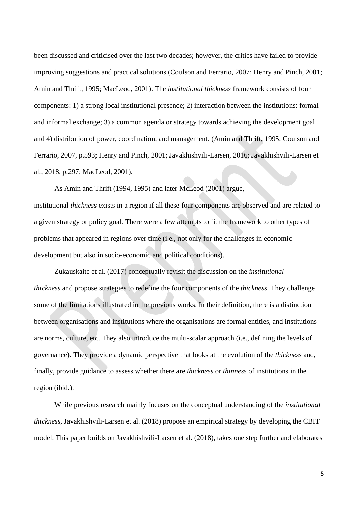been discussed and criticised over the last two decades; however, the critics have failed to provide improving suggestions and practical solutions (Coulson and Ferrario, 2007; Henry and Pinch, 2001; Amin and Thrift, 1995; MacLeod, 2001). The *institutional thickness* framework consists of four components: 1) a strong local institutional presence; 2) interaction between the institutions: formal and informal exchange; 3) a common agenda or strategy towards achieving the development goal and 4) distribution of power, coordination, and management. (Amin and Thrift, 1995; Coulson and Ferrario, 2007, p.593; Henry and Pinch, 2001; Javakhishvili-Larsen, 2016; Javakhishvili-Larsen et al., 2018, p.297; MacLeod, 2001).

As Amin and Thrift (1994, 1995) and later McLeod (2001) argue, institutional *thickness* exists in a region if all these four components are observed and are related to a given strategy or policy goal. There were a few attempts to fit the framework to other types of problems that appeared in regions over time (i.e., not only for the challenges in economic development but also in socio-economic and political conditions).

Zukauskaite et al. (2017) conceptually revisit the discussion on the *institutional thickness* and propose strategies to redefine the four components of the *thickness*. They challenge some of the limitations illustrated in the previous works. In their definition, there is a distinction between organisations and institutions where the organisations are formal entities, and institutions are norms, culture, etc. They also introduce the multi-scalar approach (i.e., defining the levels of governance). They provide a dynamic perspective that looks at the evolution of the *thickness* and, finally, provide guidance to assess whether there are *thickness* or *thinness* of institutions in the region (ibid.).

While previous research mainly focuses on the conceptual understanding of the *institutional thickness*, Javakhishvili-Larsen et al. (2018) propose an empirical strategy by developing the CBIT model. This paper builds on Javakhishvili-Larsen et al. (2018), takes one step further and elaborates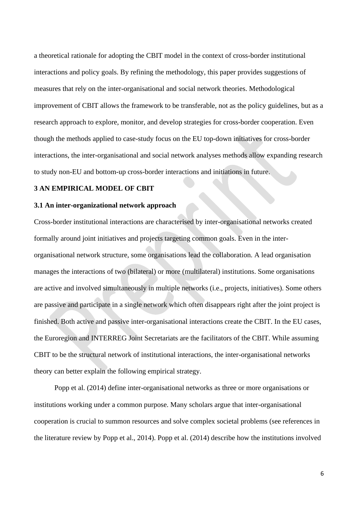a theoretical rationale for adopting the CBIT model in the context of cross-border institutional interactions and policy goals. By refining the methodology, this paper provides suggestions of measures that rely on the inter-organisational and social network theories. Methodological improvement of CBIT allows the framework to be transferable, not as the policy guidelines, but as a research approach to explore, monitor, and develop strategies for cross-border cooperation. Even though the methods applied to case-study focus on the EU top-down initiatives for cross-border interactions, the inter-organisational and social network analyses methods allow expanding research to study non-EU and bottom-up cross-border interactions and initiations in future.

## **3 AN EMPIRICAL MODEL OF CBIT**

### **3.1 An inter-organizational network approach**

Cross-border institutional interactions are characterised by inter-organisational networks created formally around joint initiatives and projects targeting common goals. Even in the interorganisational network structure, some organisations lead the collaboration. A lead organisation manages the interactions of two (bilateral) or more (multilateral) institutions. Some organisations are active and involved simultaneously in multiple networks (i.e., projects, initiatives). Some others are passive and participate in a single network which often disappears right after the joint project is finished. Both active and passive inter-organisational interactions create the CBIT. In the EU cases, the Euroregion and INTERREG Joint Secretariats are the facilitators of the CBIT. While assuming CBIT to be the structural network of institutional interactions, the inter-organisational networks theory can better explain the following empirical strategy.

Popp et al. (2014) define inter-organisational networks as three or more organisations or institutions working under a common purpose. Many scholars argue that inter-organisational cooperation is crucial to summon resources and solve complex societal problems (see references in the literature review by Popp et al., 2014). Popp et al. (2014) describe how the institutions involved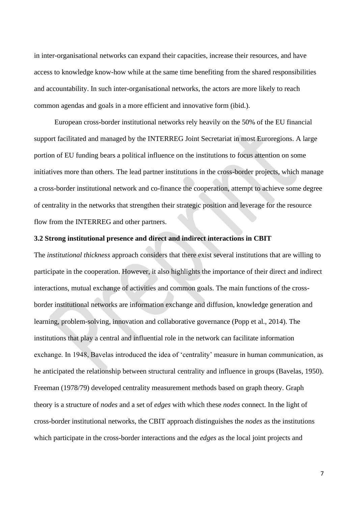in inter-organisational networks can expand their capacities, increase their resources, and have access to knowledge know-how while at the same time benefiting from the shared responsibilities and accountability. In such inter-organisational networks, the actors are more likely to reach common agendas and goals in a more efficient and innovative form (ibid.).

European cross-border institutional networks rely heavily on the 50% of the EU financial support facilitated and managed by the INTERREG Joint Secretariat in most Euroregions. A large portion of EU funding bears a political influence on the institutions to focus attention on some initiatives more than others. The lead partner institutions in the cross-border projects, which manage a cross-border institutional network and co-finance the cooperation, attempt to achieve some degree of centrality in the networks that strengthen their strategic position and leverage for the resource flow from the INTERREG and other partners.

### **3.2 Strong institutional presence and direct and indirect interactions in CBIT**

The *institutional thickness* approach considers that there exist several institutions that are willing to participate in the cooperation. However, it also highlights the importance of their direct and indirect interactions, mutual exchange of activities and common goals. The main functions of the crossborder institutional networks are information exchange and diffusion, knowledge generation and learning, problem-solving, innovation and collaborative governance (Popp et al., 2014). The institutions that play a central and influential role in the network can facilitate information exchange. In 1948, Bavelas introduced the idea of 'centrality' measure in human communication, as he anticipated the relationship between structural centrality and influence in groups (Bavelas, 1950). Freeman (1978/79) developed centrality measurement methods based on graph theory. Graph theory is a structure of *nodes* and a set of *edges* with which these *nodes* connect. In the light of cross-border institutional networks, the CBIT approach distinguishes the *nodes* as the institutions which participate in the cross-border interactions and the *edges* as the local joint projects and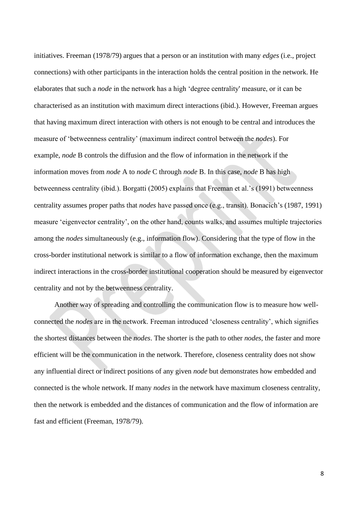initiatives. Freeman (1978/79) argues that a person or an institution with many *edges* (i.e., project connections) with other participants in the interaction holds the central position in the network. He elaborates that such a *node* in the network has a high 'degree centrality' measure, or it can be characterised as an institution with maximum direct interactions (ibid.). However, Freeman argues that having maximum direct interaction with others is not enough to be central and introduces the measure of 'betweenness centrality' (maximum indirect control between the *nodes*). For example, *node* B controls the diffusion and the flow of information in the network if the information moves from *node* A to *node* C through *node* B. In this case, *node* B has high betweenness centrality (ibid.). Borgatti (2005) explains that Freeman et al.'s (1991) betweenness centrality assumes proper paths that *nodes* have passed once (e.g., transit). Bonacich's (1987, 1991) measure 'eigenvector centrality', on the other hand, counts walks, and assumes multiple trajectories among the *nodes* simultaneously (e.g., information flow). Considering that the type of flow in the cross-border institutional network is similar to a flow of information exchange, then the maximum indirect interactions in the cross-border institutional cooperation should be measured by eigenvector centrality and not by the betweenness centrality.

Another way of spreading and controlling the communication flow is to measure how wellconnected the *nodes* are in the network. Freeman introduced 'closeness centrality', which signifies the shortest distances between the *nodes*. The shorter is the path to other *nodes,* the faster and more efficient will be the communication in the network. Therefore, closeness centrality does not show any influential direct or indirect positions of any given *node* but demonstrates how embedded and connected is the whole network. If many *nodes* in the network have maximum closeness centrality, then the network is embedded and the distances of communication and the flow of information are fast and efficient (Freeman, 1978/79).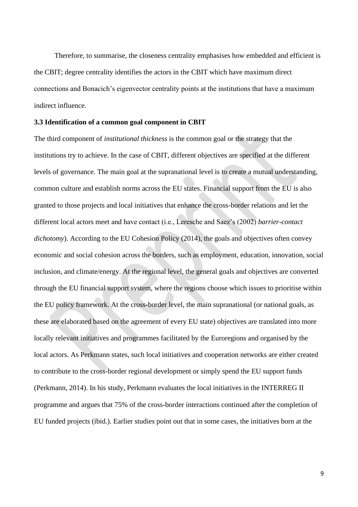Therefore, to summarise, the closeness centrality emphasises how embedded and efficient is the CBIT; degree centrality identifies the actors in the CBIT which have maximum direct connections and Bonacich's eigenvector centrality points at the institutions that have a maximum indirect influence.

## **3.3 Identification of a common goal component in CBIT**

The third component of *institutional thickness* is the common goal or the strategy that the institutions try to achieve. In the case of CBIT, different objectives are specified at the different levels of governance. The main goal at the supranational level is to create a mutual understanding, common culture and establish norms across the EU states. Financial support from the EU is also granted to those projects and local initiatives that enhance the cross-border relations and let the different local actors meet and have contact (i.e., Leresche and Saez's (2002) *barrier-contact dichotomy*). According to the EU Cohesion Policy (2014), the goals and objectives often convey economic and social cohesion across the borders, such as employment, education, innovation, social inclusion, and climate/energy. At the regional level, the general goals and objectives are converted through the EU financial support system, where the regions choose which issues to prioritise within the EU policy framework. At the cross-border level, the main supranational (or national goals, as these are elaborated based on the agreement of every EU state) objectives are translated into more locally relevant initiatives and programmes facilitated by the Euroregions and organised by the local actors. As Perkmann states, such local initiatives and cooperation networks are either created to contribute to the cross-border regional development or simply spend the EU support funds (Perkmann, 2014). In his study, Perkmann evaluates the local initiatives in the INTERREG II programme and argues that 75% of the cross-border interactions continued after the completion of EU funded projects (ibid.). Earlier studies point out that in some cases, the initiatives born at the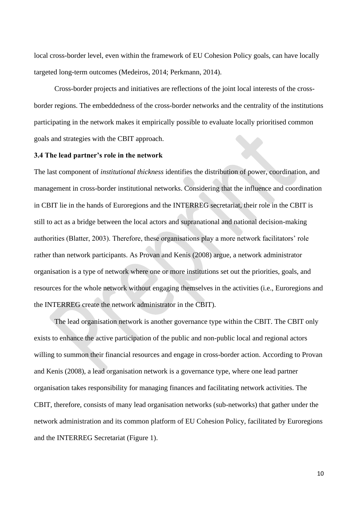local cross-border level, even within the framework of EU Cohesion Policy goals, can have locally targeted long-term outcomes (Medeiros, 2014; Perkmann, 2014).

Cross-border projects and initiatives are reflections of the joint local interests of the crossborder regions. The embeddedness of the cross-border networks and the centrality of the institutions participating in the network makes it empirically possible to evaluate locally prioritised common goals and strategies with the CBIT approach.

## **3.4 The lead partner's role in the network**

The last component of *institutional thickness* identifies the distribution of power, coordination, and management in cross-border institutional networks. Considering that the influence and coordination in CBIT lie in the hands of Euroregions and the INTERREG secretariat, their role in the CBIT is still to act as a bridge between the local actors and supranational and national decision-making authorities (Blatter, 2003). Therefore, these organisations play a more network facilitators' role rather than network participants. As Provan and Kenis (2008) argue, a network administrator organisation is a type of network where one or more institutions set out the priorities, goals, and resources for the whole network without engaging themselves in the activities (i.e., Euroregions and the INTERREG create the network administrator in the CBIT).

The lead organisation network is another governance type within the CBIT. The CBIT only exists to enhance the active participation of the public and non-public local and regional actors willing to summon their financial resources and engage in cross-border action. According to Provan and Kenis (2008), a lead organisation network is a governance type, where one lead partner organisation takes responsibility for managing finances and facilitating network activities. The CBIT, therefore, consists of many lead organisation networks (sub-networks) that gather under the network administration and its common platform of EU Cohesion Policy, facilitated by Euroregions and the INTERREG Secretariat (Figure 1).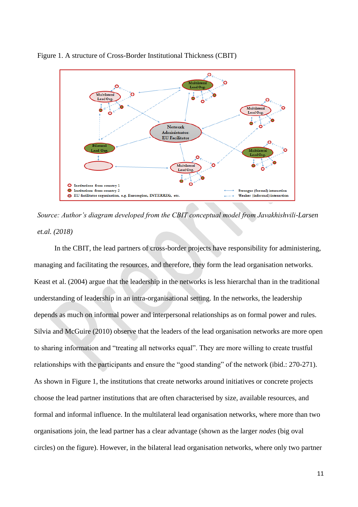

Figure 1. A structure of Cross-Border Institutional Thickness (CBIT)



In the CBIT, the lead partners of cross-border projects have responsibility for administering, managing and facilitating the resources, and therefore, they form the lead organisation networks. Keast et al. (2004) argue that the leadership in the networks is less hierarchal than in the traditional understanding of leadership in an intra-organisational setting. In the networks, the leadership depends as much on informal power and interpersonal relationships as on formal power and rules. Silvia and McGuire (2010) observe that the leaders of the lead organisation networks are more open to sharing information and "treating all networks equal". They are more willing to create trustful relationships with the participants and ensure the "good standing" of the network (ibid.: 270-271). As shown in Figure 1, the institutions that create networks around initiatives or concrete projects choose the lead partner institutions that are often characterised by size, available resources, and formal and informal influence. In the multilateral lead organisation networks, where more than two organisations join, the lead partner has a clear advantage (shown as the larger *nodes* (big oval circles) on the figure). However, in the bilateral lead organisation networks, where only two partner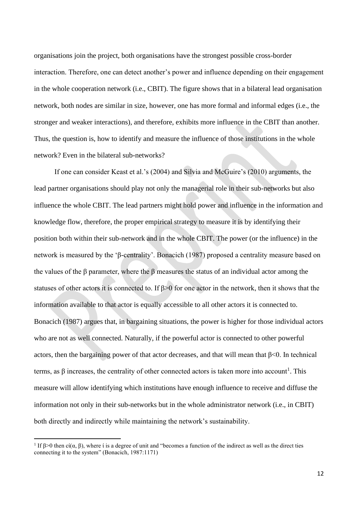organisations join the project, both organisations have the strongest possible cross-border interaction. Therefore, one can detect another's power and influence depending on their engagement in the whole cooperation network (i.e., CBIT). The figure shows that in a bilateral lead organisation network, both nodes are similar in size, however, one has more formal and informal edges (i.e., the stronger and weaker interactions), and therefore, exhibits more influence in the CBIT than another. Thus, the question is, how to identify and measure the influence of those institutions in the whole network? Even in the bilateral sub-networks?

If one can consider Keast et al.'s (2004) and Silvia and McGuire's (2010) arguments, the lead partner organisations should play not only the managerial role in their sub-networks but also influence the whole CBIT. The lead partners might hold power and influence in the information and knowledge flow, therefore, the proper empirical strategy to measure it is by identifying their position both within their sub-network and in the whole CBIT. The power (or the influence) in the network is measured by the 'β-centrality'. Bonacich (1987) proposed a centrality measure based on the values of the β parameter, where the β measures the status of an individual actor among the statuses of other actors it is connected to. If β>0 for one actor in the network, then it shows that the information available to that actor is equally accessible to all other actors it is connected to. Bonacich (1987) argues that, in bargaining situations, the power is higher for those individual actors who are not as well connected. Naturally, if the powerful actor is connected to other powerful actors, then the bargaining power of that actor decreases, and that will mean that  $\beta$ <0. In technical terms, as β increases, the centrality of other connected actors is taken more into account<sup>1</sup>. This measure will allow identifying which institutions have enough influence to receive and diffuse the information not only in their sub-networks but in the whole administrator network (i.e., in CBIT) both directly and indirectly while maintaining the network's sustainability.

<sup>&</sup>lt;sup>1</sup> If β > 0 then ci( $\alpha$ , β), where i is a degree of unit and "becomes a function of the indirect as well as the direct ties connecting it to the system" (Bonacich, 1987:1171)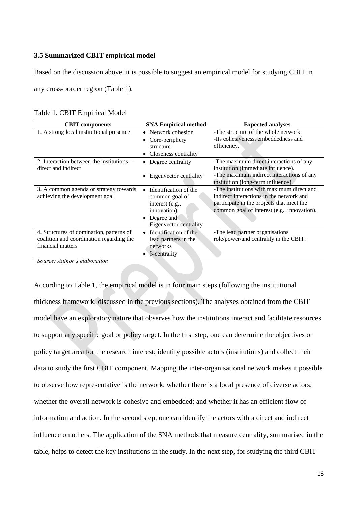## **3.5 Summarized CBIT empirical model**

Based on the discussion above, it is possible to suggest an empirical model for studying CBIT in

any cross-border region (Table 1).

| Table 1. CBIT Empirical Model |
|-------------------------------|
|-------------------------------|

| <b>CBIT</b> components                                                                                    | <b>SNA Empirical method</b>                                                                                                    | <b>Expected analyses</b>                                                                                                                                                          |
|-----------------------------------------------------------------------------------------------------------|--------------------------------------------------------------------------------------------------------------------------------|-----------------------------------------------------------------------------------------------------------------------------------------------------------------------------------|
| 1. A strong local institutional presence                                                                  | • Network cohesion<br>• Core-periphery<br>structure<br>Closeness centrality                                                    | -The structure of the whole network.<br>-Its cohesiveness, embeddedness and<br>efficiency.                                                                                        |
| 2. Interaction between the institutions $-$<br>direct and indirect                                        | Degree centrality<br>Eigenvector centrality<br>$\bullet$                                                                       | -The maximum direct interactions of any<br>institution (immediate influence).<br>-The maximum indirect interactions of any<br>institution (long-term influence).                  |
| 3. A common agenda or strategy towards<br>achieving the development goal                                  | Identification of the<br>$\bullet$<br>common goal of<br>interest (e.g.,<br>innovation)<br>Degree and<br>Eigenvector centrality | -The institutions with maximum direct and<br>indirect interactions in the network and<br>participate in the projects that meet the<br>common goal of interest (e.g., innovation). |
| 4. Structures of domination, patterns of<br>coalition and coordination regarding the<br>financial matters | Identification of the<br>$\bullet$<br>lead partners in the<br>networks<br>β-centrality                                         | -The lead partner organisations<br>role/power/and centrality in the CBIT.                                                                                                         |

*Source: Author's elaboration*

According to Table 1, the empirical model is in four main steps (following the institutional thickness framework, discussed in the previous sections). The analyses obtained from the CBIT model have an exploratory nature that observes how the institutions interact and facilitate resources to support any specific goal or policy target. In the first step, one can determine the objectives or policy target area for the research interest; identify possible actors (institutions) and collect their data to study the first CBIT component. Mapping the inter-organisational network makes it possible to observe how representative is the network, whether there is a local presence of diverse actors; whether the overall network is cohesive and embedded; and whether it has an efficient flow of information and action. In the second step, one can identify the actors with a direct and indirect influence on others. The application of the SNA methods that measure centrality, summarised in the table, helps to detect the key institutions in the study. In the next step, for studying the third CBIT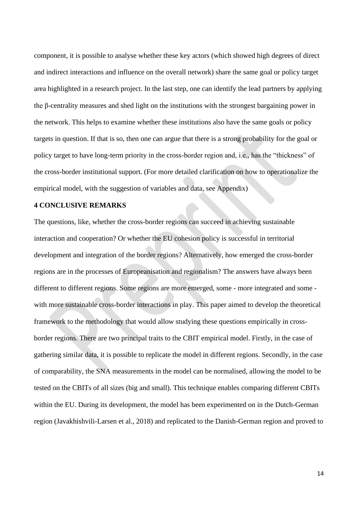component, it is possible to analyse whether these key actors (which showed high degrees of direct and indirect interactions and influence on the overall network) share the same goal or policy target area highlighted in a research project. In the last step, one can identify the lead partners by applying the β-centrality measures and shed light on the institutions with the strongest bargaining power in the network. This helps to examine whether these institutions also have the same goals or policy targets in question. If that is so, then one can argue that there is a strong probability for the goal or policy target to have long-term priority in the cross-border region and, i.e., has the "thickness" of the cross-border institutional support. (For more detailed clarification on how to operationalize the empirical model, with the suggestion of variables and data, see Appendix)

### **4 CONCLUSIVE REMARKS**

The questions, like, whether the cross-border regions can succeed in achieving sustainable interaction and cooperation? Or whether the EU cohesion policy is successful in territorial development and integration of the border regions? Alternatively, how emerged the cross-border regions are in the processes of Europeanisation and regionalism? The answers have always been different to different regions. Some regions are more emerged, some - more integrated and some with more sustainable cross-border interactions in play. This paper aimed to develop the theoretical framework to the methodology that would allow studying these questions empirically in crossborder regions. There are two principal traits to the CBIT empirical model. Firstly, in the case of gathering similar data, it is possible to replicate the model in different regions. Secondly, in the case of comparability, the SNA measurements in the model can be normalised, allowing the model to be tested on the CBITs of all sizes (big and small). This technique enables comparing different CBITs within the EU. During its development, the model has been experimented on in the Dutch-German region (Javakhishvili-Larsen et al., 2018) and replicated to the Danish-German region and proved to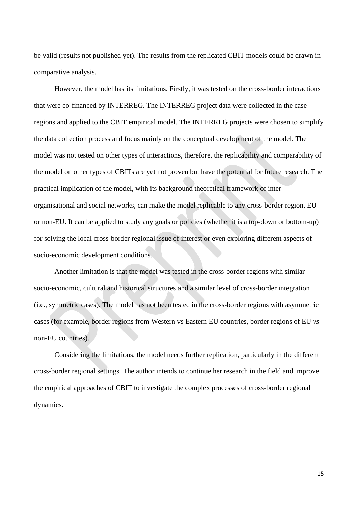be valid (results not published yet). The results from the replicated CBIT models could be drawn in comparative analysis.

However, the model has its limitations. Firstly, it was tested on the cross-border interactions that were co-financed by INTERREG. The INTERREG project data were collected in the case regions and applied to the CBIT empirical model. The INTERREG projects were chosen to simplify the data collection process and focus mainly on the conceptual development of the model. The model was not tested on other types of interactions, therefore, the replicability and comparability of the model on other types of CBITs are yet not proven but have the potential for future research. The practical implication of the model, with its background theoretical framework of interorganisational and social networks, can make the model replicable to any cross-border region, EU or non-EU. It can be applied to study any goals or policies (whether it is a top-down or bottom-up) for solving the local cross-border regional issue of interest or even exploring different aspects of socio-economic development conditions.

Another limitation is that the model was tested in the cross-border regions with similar socio-economic, cultural and historical structures and a similar level of cross-border integration (i.e., symmetric cases). The model has not been tested in the cross-border regions with asymmetric cases (for example, border regions from Western vs Eastern EU countries, border regions of EU *vs* non-EU countries).

Considering the limitations, the model needs further replication, particularly in the different cross-border regional settings. The author intends to continue her research in the field and improve the empirical approaches of CBIT to investigate the complex processes of cross-border regional dynamics.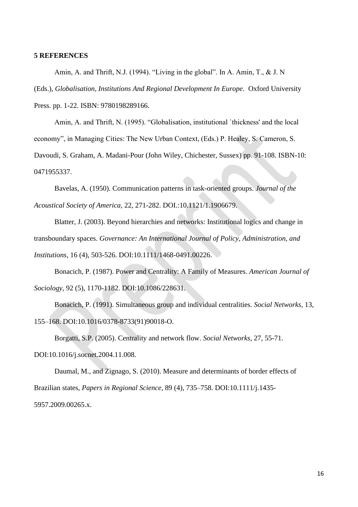### **5 REFERENCES**

Amin, A. and Thrift, N.J. (1994). "Living in the global". In A. Amin, T., & J. N (Eds.), *Globalisation, Institutions And Regional Development In Europe.* Oxford University Press. pp. 1-22. ISBN: 9780198289166.

Amin, A. and Thrift, N. (1995). "Globalisation, institutional `thickness' and the local economy", in Managing Cities: The New Urban Context, (Eds.) P. Healey, S. Cameron, S.

Davoudi, S. Graham, A. Madani-Pour (John Wiley, Chichester, Sussex) pp. 91-108. ISBN-10: 0471955337.

Bavelas, A. (1950). Communication patterns in task-oriented groups. *Journal of the Acoustical Society of America,* 22, 271-282. DOI.:10.1121/1.1906679.

Blatter, J. (2003). Beyond hierarchies and networks: Institutional logics and change in transboundary spaces. *Governance: An International Journal of Policy, Administration, and Institutions,* 16 (4), 503-526. DOI:10.1111/1468-0491.00226.

Bonacich, P. (1987). Power and Centrality: A Family of Measures. *American Journal of Sociology,* 92 (5), 1170-1182. DOI:10.1086/228631.

Bonacich, P. (1991). Simultaneous group and individual centralities. *Social Networks,* 13, 155–168. DOI:10.1016/0378-8733(91)90018-O.

Borgatti, S.P. (2005). Centrality and network flow. *Social Networks,* 27, 55-71. DOI:10.1016/j.socnet.2004.11.008.

Daumal, M., and Zignago, S. (2010). Measure and determinants of border effects of Brazilian states, *Papers in Regional Science*, 89 (4), 735–758. DOI:10.1111/j.1435- 5957.2009.00265.x.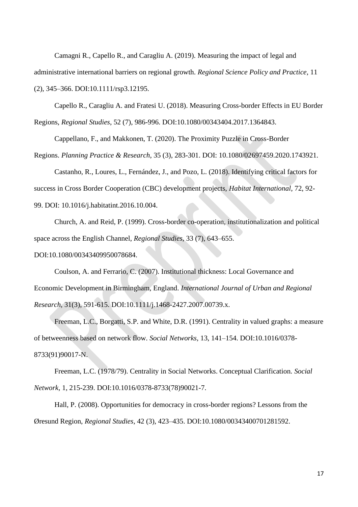Camagni R., Capello R., and Caragliu A. (2019). Measuring the impact of legal and administrative international barriers on regional growth. *Regional Science Policy and Practice*, 11 (2), 345–366. DOI:10.1111/rsp3.12195.

Capello R., Caragliu A. and Fratesi U. (2018). Measuring Cross-border Effects in EU Border Regions, *Regional Studies*, 52 (7), 986-996. DOI:10.1080/00343404.2017.1364843.

Cappellano, F., and Makkonen, T. (2020). The Proximity Puzzle in Cross-Border

Regions. *Planning Practice & Research*, 35 (3), 283-301. DOI: 10.1080/02697459.2020.1743921.

Castanho, R., Loures, L., Fernández, J., and Pozo, L. (2018). Identifying critical factors for success in Cross Border Cooperation (CBC) development projects, *Habitat International,* 72, 92- 99. DOI: 10.1016/j.habitatint.2016.10.004.

Church, A. and Reid, P. (1999). Cross-border co-operation, institutionalization and political space across the English Channel, *Regional Studies*, 33 (7), 643–655.

DOI:10.1080/00343409950078684.

Coulson, A. and Ferrario, C. (2007). Institutional thickness: Local Governance and Economic Development in Birmingham, England. *International Journal of Urban and Regional Research,* 31(3), 591-615. DOI:10.1111/j.1468-2427.2007.00739.x.

Freeman, L.C., Borgatti, S.P. and White, D.R. (1991). Centrality in valued graphs: a measure of betweenness based on network flow. *Social Networks,* 13, 141–154. DOI:10.1016/0378- 8733(91)90017-N.

Freeman, L.C. (1978/79). Centrality in Social Networks. Conceptual Clarification. *Social Network,* 1, 215-239. DOI:10.1016/0378-8733(78)90021-7.

Hall, P. (2008). Opportunities for democracy in cross-border regions? Lessons from the Øresund Region, *Regional Studies*, 42 (3), 423–435. DOI:10.1080/00343400701281592.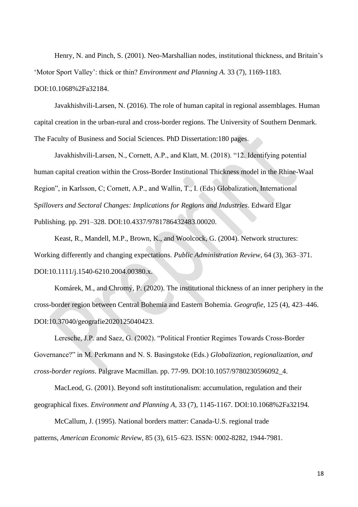Henry, N. and Pinch, S. (2001). Neo-Marshallian nodes, institutional thickness, and Britain's 'Motor Sport Valley': thick or thin? *Environment and Planning A.* 33 (7), 1169-1183. DOI:10.1068%2Fa32184.

Javakhishvili-Larsen, N. (2016). The role of human capital in regional assemblages. Human capital creation in the urban-rural and cross-border regions. The University of Southern Denmark. The Faculty of Business and Social Sciences. PhD Dissertation:180 pages.

Javakhishvili-Larsen, N., Cornett, A.P., and Klatt, M. (2018). "12. Identifying potential human capital creation within the Cross-Border Institutional Thickness model in the Rhine-Waal Region", in Karlsson, C; Cornett, A.P., and Wallin, T., I. (Eds) Globalization, International S*pillovers and Sectoral Changes: Implications for Regions and Industries*. Edward Elgar Publishing. pp. 291–328. DOI:10.4337/9781786432483.00020.

Keast, R., Mandell, M.P., Brown, K., and Woolcock, G. (2004). Network structures: Working differently and changing expectations. *Public Administration Review,* 64 (3), 363–371. DOI:10.1111/j.1540-6210.2004.00380.x.

Komárek, M., and Chromý, P. (2020). The institutional thickness of an inner periphery in the cross-border region between Central Bohemia and Eastern Bohemia. *Geografie*, 125 (4), 423–446. DOI:10.37040/geografie2020125040423.

Leresche, J.P. and Saez, G. (2002). "Political Frontier Regimes Towards Cross-Border Governance?" in M. Perkmann and N. S. Basingstoke (Eds.) *Globalization, regionalization, and cross-border regions*. Palgrave Macmillan. pp. 77-99. DOI:10.1057/9780230596092\_4.

MacLeod, G. (2001). Beyond soft institutionalism: accumulation, regulation and their geographical fixes. *Environment and Planning A,* 33 (7), 1145-1167. DOI:10.1068%2Fa32194.

McCallum, J. (1995). National borders matter: Canada-U.S. regional trade patterns, *American Economic Review*, 85 (3), 615–623. ISSN: 0002-8282, 1944-7981.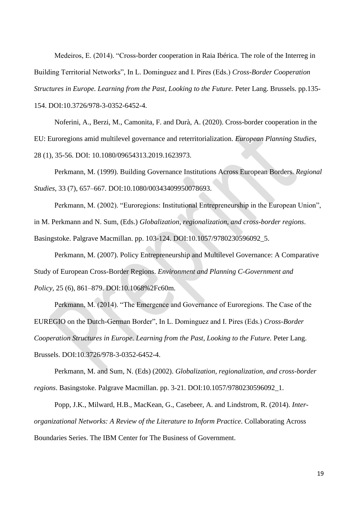Medeiros, E. (2014). "Cross-border cooperation in Raia Ibérica. The role of the Interreg in Building Territorial Networks", In L. Dominguez and I. Pires (Eds.) *Cross-Border Cooperation Structures in Europe. Learning from the Past, Looking to the Future.* Peter Lang. Brussels. pp.135- 154. DOI:10.3726/978-3-0352-6452-4.

Noferini, A., Berzi, M., Camonita, F. and Durà, A. (2020). Cross-border cooperation in the EU: Euroregions amid multilevel governance and reterritorialization. *European Planning Studies*, 28 (1), 35-56. DOI: 10.1080/09654313.2019.1623973.

Perkmann, M. (1999). Building Governance Institutions Across European Borders. *Regional Studies*, 33 (7), 657–667. DOI:10.1080/00343409950078693.

Perkmann, M. (2002). "Euroregions: Institutional Entrepreneurship in the European Union", in M. Perkmann and N. Sum, (Eds.) *Globalization, regionalization, and cross-border regions*. Basingstoke. Palgrave Macmillan. pp. 103-124. DOI:10.1057/9780230596092\_5.

Perkmann, M. (2007). Policy Entrepreneurship and Multilevel Governance: A Comparative Study of European Cross-Border Regions. *Environment and Planning C-Government and Policy,* 25 (6), 861–879. DOI:10.1068%2Fc60m.

Perkmann, M. (2014). "The Emergence and Governance of Euroregions. The Case of the EUREGIO on the Dutch-German Border", In L. Dominguez and I. Pires (Eds.) *Cross-Border Cooperation Structures in Europe. Learning from the Past, Looking to the Future.* Peter Lang. Brussels. DOI:10.3726/978-3-0352-6452-4.

Perkmann, M. and Sum, N. (Eds) (2002). *Globalization, regionalization, and cross-border regions*. Basingstoke. Palgrave Macmillan. pp. 3-21. DOI:10.1057/9780230596092\_1.

Popp, J.K., Milward, H.B., MacKean, G., Casebeer, A. and Lindstrom, R. (2014). *Interorganizational Networks: A Review of the Literature to Inform Practice*. Collaborating Across Boundaries Series. The IBM Center for The Business of Government.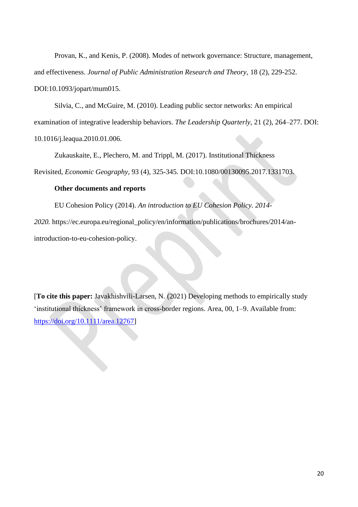Provan, K., and Kenis, P. (2008). Modes of network governance: Structure, management, and effectiveness. *Journal of Public Administration Research and Theory,* 18 (2), 229-252. DOI:10.1093/jopart/mum015.

Silvia, C., and McGuire, M. (2010). Leading public sector networks: An empirical examination of integrative leadership behaviors. *The Leadership Quarterly,* 21 (2), 264–277. DOI: 10.1016/j.leaqua.2010.01.006.

Zukauskaite, E., Plechero, M. and Trippl, M. (2017). Institutional Thickness Revisited, *Economic Geography,* 93 (4), 325-345. DOI:10.1080/00130095.2017.1331703.

# **Other documents and reports**

EU Cohesion Policy (2014). *An introduction to EU Cohesion Policy. 2014- 2020.* https://ec.europa.eu/regional\_policy/en/information/publications/brochures/2014/anintroduction-to-eu-cohesion-policy.

[**To cite this paper:** Javakhishvili-Larsen, N. (2021) Developing methods to empirically study 'institutional thickness' framework in cross-border regions. Area, 00, 1–9. Available from: [https://doi.org/10.1111/area.12767\]](https://doi.org/10.1111/area.12767)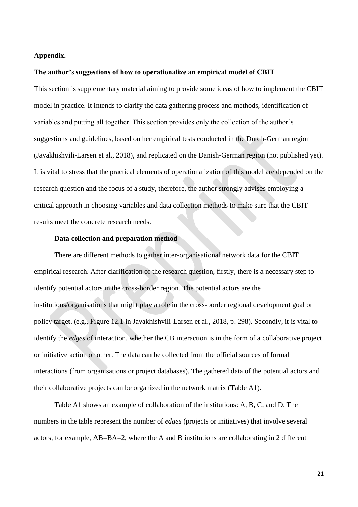## **Appendix.**

#### **The author's suggestions of how to operationalize an empirical model of CBIT**

This section is supplementary material aiming to provide some ideas of how to implement the CBIT model in practice. It intends to clarify the data gathering process and methods, identification of variables and putting all together. This section provides only the collection of the author's suggestions and guidelines, based on her empirical tests conducted in the Dutch-German region (Javakhishvili-Larsen et al., 2018), and replicated on the Danish-German region (not published yet). It is vital to stress that the practical elements of operationalization of this model are depended on the research question and the focus of a study, therefore, the author strongly advises employing a critical approach in choosing variables and data collection methods to make sure that the CBIT results meet the concrete research needs.

#### **Data collection and preparation method**

There are different methods to gather inter-organisational network data for the CBIT empirical research. After clarification of the research question, firstly, there is a necessary step to identify potential actors in the cross-border region. The potential actors are the institutions/organisations that might play a role in the cross-border regional development goal or policy target. (e.g., Figure 12.1 in Javakhishvili-Larsen et al., 2018, p. 298). Secondly, it is vital to identify the *edges* of interaction, whether the CB interaction is in the form of a collaborative project or initiative action or other. The data can be collected from the official sources of formal interactions (from organisations or project databases). The gathered data of the potential actors and their collaborative projects can be organized in the network matrix (Table A1).

Table A1 shows an example of collaboration of the institutions: A, B, C, and D. The numbers in the table represent the number of *edges* (projects or initiatives) that involve several actors, for example, AB=BA=2, where the A and B institutions are collaborating in 2 different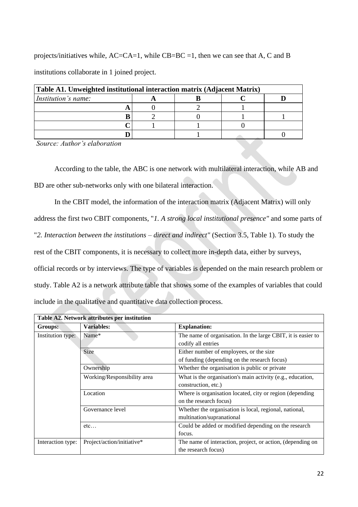projects/initiatives while, AC=CA=1, while CB=BC =1, then we can see that A, C and B institutions collaborate in 1 joined project.

| Table A1. Unweighted institutional interaction matrix (Adjacent Matrix) |  |  |  |  |  |
|-------------------------------------------------------------------------|--|--|--|--|--|
| <i>Institution's name:</i>                                              |  |  |  |  |  |
|                                                                         |  |  |  |  |  |
|                                                                         |  |  |  |  |  |
|                                                                         |  |  |  |  |  |
|                                                                         |  |  |  |  |  |

*Source: Author's elaboration*

According to the table, the ABC is one network with multilateral interaction, while AB and BD are other sub-networks only with one bilateral interaction.

In the CBIT model, the information of the interaction matrix (Adjacent Matrix) will only address the first two CBIT components, "*1. A strong local institutional presence"* and some parts of "*2. Interaction between the institutions – direct and indirect"* (Section 3.5, Table 1). To study the rest of the CBIT components, it is necessary to collect more in-depth data, either by surveys, official records or by interviews. The type of variables is depended on the main research problem or study. Table A2 is a network attribute table that shows some of the examples of variables that could include in the qualitative and quantitative data collection process.

| Table A2. Network attributes per institution |                             |                                                              |  |  |  |
|----------------------------------------------|-----------------------------|--------------------------------------------------------------|--|--|--|
| Groups:                                      | <b>Variables:</b>           | <b>Explanation:</b>                                          |  |  |  |
| Institution type:                            | Name*                       | The name of organisation. In the large CBIT, it is easier to |  |  |  |
|                                              |                             | codify all entries                                           |  |  |  |
|                                              | Size                        | Either number of employees, or the size                      |  |  |  |
|                                              |                             | of funding (depending on the research focus)                 |  |  |  |
|                                              | Ownership                   | Whether the organisation is public or private                |  |  |  |
|                                              | Working/Responsibility area | What is the organisation's main activity (e.g., education,   |  |  |  |
|                                              |                             | construction, etc.)                                          |  |  |  |
|                                              | Location                    | Where is organisation located, city or region (depending     |  |  |  |
|                                              |                             | on the research focus)                                       |  |  |  |
|                                              | Governance level            | Whether the organisation is local, regional, national,       |  |  |  |
|                                              |                             | multination/supranational                                    |  |  |  |
|                                              | etc                         | Could be added or modified depending on the research         |  |  |  |
|                                              |                             | focus.                                                       |  |  |  |
| Interaction type:                            | Project/action/initiative*  | The name of interaction, project, or action, (depending on   |  |  |  |
|                                              |                             | the research focus)                                          |  |  |  |